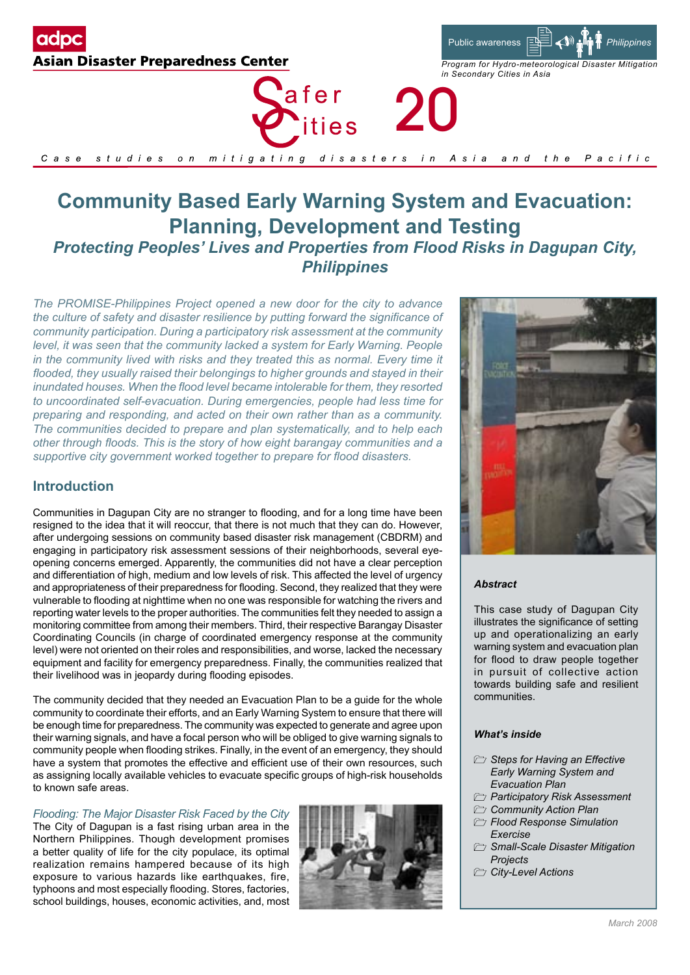

afer 20 *ities* 



# **Community Based Early Warning System and Evacuation: Planning, Development and Testing**  *Protecting Peoples' Lives and Properties from Flood Risks in Dagupan City, Philippines*

*The PROMISE-Philippines Project opened a new door for the city to advance the culture of safety and disaster resilience by putting forward the significance of community participation. During a participatory risk assessment at the community level, it was seen that the community lacked a system for Early Warning. People*  in the community lived with risks and they treated this as normal. Every time it *flooded, they usually raised their belongings to higher grounds and stayed in their inundated houses. When the flood level became intolerable for them, they resorted to uncoordinated self-evacuation. During emergencies, people had less time for preparing and responding, and acted on their own rather than as a community. The communities decided to prepare and plan systematically, and to help each other through floods. This is the story of how eight barangay communities and a supportive city government worked together to prepare for flood disasters.*

# **Introduction**

Communities in Dagupan City are no stranger to flooding, and for a long time have been resigned to the idea that it will reoccur, that there is not much that they can do. However, after undergoing sessions on community based disaster risk management (CBDRM) and engaging in participatory risk assessment sessions of their neighborhoods, several eyeopening concerns emerged. Apparently, the communities did not have a clear perception and differentiation of high, medium and low levels of risk. This affected the level of urgency and appropriateness of their preparedness for flooding. Second, they realized that they were vulnerable to flooding at nighttime when no one was responsible for watching the rivers and reporting water levels to the proper authorities. The communities felt they needed to assign a monitoring committee from among their members. Third, their respective Barangay Disaster Coordinating Councils (in charge of coordinated emergency response at the community level) were not oriented on their roles and responsibilities, and worse, lacked the necessary equipment and facility for emergency preparedness. Finally, the communities realized that their livelihood was in jeopardy during flooding episodes.

The community decided that they needed an Evacuation Plan to be a guide for the whole community to coordinate their efforts, and an Early Warning System to ensure that there will be enough time for preparedness. The community was expected to generate and agree upon their warning signals, and have a focal person who will be obliged to give warning signals to community people when flooding strikes. Finally, in the event of an emergency, they should have a system that promotes the effective and efficient use of their own resources, such as assigning locally available vehicles to evacuate specific groups of high-risk households to known safe areas.

## *Flooding: The Major Disaster Risk Faced by the City*

The City of Dagupan is a fast rising urban area in the Northern Philippines. Though development promises a better quality of life for the city populace, its optimal realization remains hampered because of its high exposure to various hazards like earthquakes, fire, typhoons and most especially flooding. Stores, factories, school buildings, houses, economic activities, and, most





## *Abstract*

Public awareness

*in Secondary Cities in Asia* 

*Program for Hydro-meteorological Disaster Mitigation*

*Philippines*

This case study of Dagupan City illustrates the significance of setting up and operationalizing an early warning system and evacuation plan for flood to draw people together in pursuit of collective action towards building safe and resilient communities.

#### *What's inside*

- $\triangleright$  *Steps for Having an Effective Early Warning System and Evacuation Plan*
- *Participatory Risk Assessment*
- *Community Action Plan*
	- *Flood Response Simulation Exercise*
	- *Small-Scale Disaster Mitigation Projects*
- *City-Level Actions*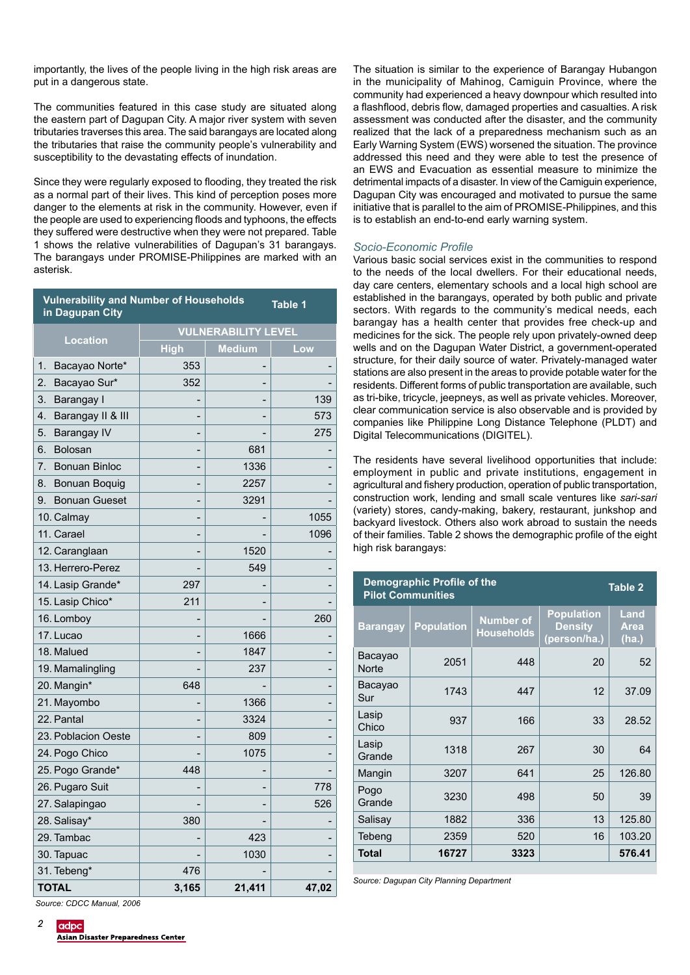importantly, the lives of the people living in the high risk areas are put in a dangerous state.

The communities featured in this case study are situated along the eastern part of Dagupan City. A major river system with seven tributaries traverses this area. The said barangays are located along the tributaries that raise the community people's vulnerability and susceptibility to the devastating effects of inundation.

Since they were regularly exposed to flooding, they treated the risk as a normal part of their lives. This kind of perception poses more danger to the elements at risk in the community. However, even if the people are used to experiencing floods and typhoons, the effects they suffered were destructive when they were not prepared. Table 1 shows the relative vulnerabilities of Dagupan's 31 barangays. The barangays under PROMISE-Philippines are marked with an asterisk.

| <b>Vulnerability and Number of Households</b><br>Table 1<br>in Dagupan City |                            |               |       |  |  |  |
|-----------------------------------------------------------------------------|----------------------------|---------------|-------|--|--|--|
| <b>Location</b>                                                             | <b>VULNERABILITY LEVEL</b> |               |       |  |  |  |
|                                                                             | <b>High</b>                | <b>Medium</b> | Low   |  |  |  |
| 1.<br>Bacayao Norte*                                                        | 353                        |               |       |  |  |  |
| 2.<br>Bacayao Sur*                                                          | 352                        |               |       |  |  |  |
| 3.<br>Barangay I                                                            |                            |               | 139   |  |  |  |
| 4.<br>Barangay II & III                                                     |                            |               | 573   |  |  |  |
| 5.<br>Barangay IV                                                           |                            |               | 275   |  |  |  |
| 6.<br><b>Bolosan</b>                                                        |                            | 681           |       |  |  |  |
| 7.<br><b>Bonuan Binloc</b>                                                  |                            | 1336          |       |  |  |  |
| 8.<br>Bonuan Boquig                                                         |                            | 2257          |       |  |  |  |
| <b>Bonuan Gueset</b><br>9.                                                  |                            | 3291          |       |  |  |  |
| 10. Calmay                                                                  |                            |               | 1055  |  |  |  |
| 11. Carael                                                                  |                            |               | 1096  |  |  |  |
| 12. Caranglaan                                                              |                            | 1520          |       |  |  |  |
| 13. Herrero-Perez                                                           |                            | 549           |       |  |  |  |
| 14. Lasip Grande*                                                           | 297                        |               |       |  |  |  |
| 15. Lasip Chico*                                                            | 211                        |               |       |  |  |  |
| 16. Lomboy                                                                  |                            |               | 260   |  |  |  |
| 17. Lucao                                                                   |                            | 1666          |       |  |  |  |
| 18. Malued                                                                  |                            | 1847          |       |  |  |  |
| 19. Mamalingling                                                            |                            | 237           |       |  |  |  |
| 20. Mangin*                                                                 | 648                        |               |       |  |  |  |
| 21. Mayombo                                                                 |                            | 1366          |       |  |  |  |
| 22. Pantal                                                                  |                            | 3324          |       |  |  |  |
| 23. Poblacion Oeste                                                         |                            | 809           |       |  |  |  |
| 24. Pogo Chico                                                              |                            | 1075          |       |  |  |  |
| 25. Pogo Grande*                                                            | 448                        |               |       |  |  |  |
| 26. Pugaro Suit                                                             |                            |               | 778   |  |  |  |
| 27. Salapingao                                                              |                            |               | 526   |  |  |  |
| 28. Salisay*                                                                | 380                        |               |       |  |  |  |
| 29. Tambac                                                                  |                            | 423           |       |  |  |  |
| 30. Tapuac                                                                  |                            | 1030          |       |  |  |  |
| 31. Tebeng*                                                                 | 476                        |               |       |  |  |  |
| <b>TOTAL</b>                                                                | 3,165                      | 21,411        | 47,02 |  |  |  |

The situation is similar to the experience of Barangay Hubangon in the municipality of Mahinog, Camiguin Province, where the community had experienced a heavy downpour which resulted into a flashflood, debris flow, damaged properties and casualties. A risk assessment was conducted after the disaster, and the community realized that the lack of a preparedness mechanism such as an Early Warning System (EWS) worsened the situation. The province addressed this need and they were able to test the presence of an EWS and Evacuation as essential measure to minimize the detrimental impacts of a disaster. In view of the Camiguin experience, Dagupan City was encouraged and motivated to pursue the same initiative that is parallel to the aim of PROMISE-Philippines, and this is to establish an end-to-end early warning system.

## *Socio-Economic Profile*

Various basic social services exist in the communities to respond to the needs of the local dwellers. For their educational needs, day care centers, elementary schools and a local high school are established in the barangays, operated by both public and private sectors. With regards to the community's medical needs, each barangay has a health center that provides free check-up and medicines for the sick. The people rely upon privately-owned deep wells and on the Dagupan Water District, a government-operated structure, for their daily source of water. Privately-managed water stations are also present in the areas to provide potable water for the residents. Different forms of public transportation are available, such as tri-bike, tricycle, jeepneys, as well as private vehicles. Moreover, clear communication service is also observable and is provided by companies like Philippine Long Distance Telephone (PLDT) and Digital Telecommunications (DIGITEL).

The residents have several livelihood opportunities that include: employment in public and private institutions, engagement in agricultural and fishery production, operation of public transportation, construction work, lending and small scale ventures like *sari-sari*  (variety) stores, candy-making, bakery, restaurant, junkshop and backyard livestock. Others also work abroad to sustain the needs of their families. Table 2 shows the demographic profile of the eight high risk barangays:

| Demographic Profile of the<br><b>Pilot Communities</b> | <b>Table 2</b>    |                                       |                                                     |                              |
|--------------------------------------------------------|-------------------|---------------------------------------|-----------------------------------------------------|------------------------------|
| <b>Barangay</b>                                        | <b>Population</b> | <b>Number of</b><br><b>Households</b> | <b>Population</b><br><b>Density</b><br>(person/ha.) | Land<br><b>Area</b><br>(ha.) |
| Bacayao<br><b>Norte</b>                                | 2051              | 448                                   | 20                                                  | 52                           |
| Bacayao<br>Sur                                         | 1743              | 447                                   | 12                                                  | 37.09                        |
| Lasip<br>Chico                                         | 937               | 166                                   | 33                                                  | 28.52                        |
| Lasip<br>Grande                                        | 1318              | 267                                   | 30                                                  | 64                           |
| Mangin                                                 | 3207              | 641                                   | 25                                                  | 126.80                       |
| Pogo<br>Grande                                         | 3230              | 498                                   | 50                                                  | 39                           |
| Salisay                                                | 1882              | 336                                   | 13                                                  | 125.80                       |
| Tebeng                                                 | 2359              | 520                                   | 16                                                  | 103.20                       |
| Total                                                  | 16727             | 3323                                  |                                                     | 576.41                       |

*Source: Dagupan City Planning Department*

 *Source: CDCC Manual, 2006*

 $\overline{2}$ adpc

Asian Disaster Preparedness Center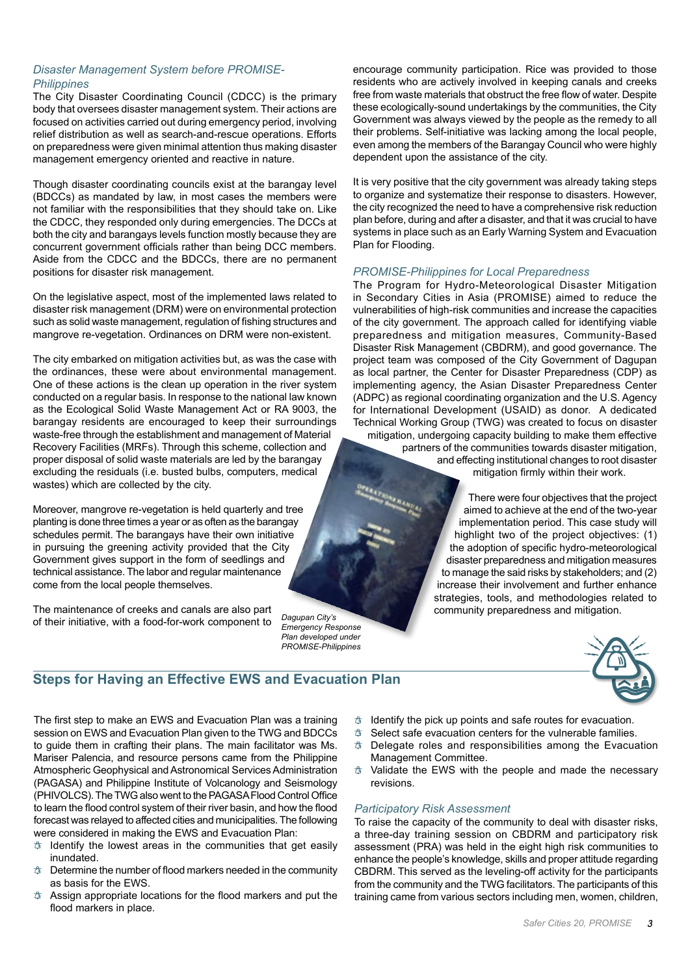# *Disaster Management System before PROMISE-Philippines*

The City Disaster Coordinating Council (CDCC) is the primary body that oversees disaster management system. Their actions are focused on activities carried out during emergency period, involving relief distribution as well as search-and-rescue operations. Efforts on preparedness were given minimal attention thus making disaster management emergency oriented and reactive in nature.

Though disaster coordinating councils exist at the barangay level (BDCCs) as mandated by law, in most cases the members were not familiar with the responsibilities that they should take on. Like the CDCC, they responded only during emergencies. The DCCs at both the city and barangays levels function mostly because they are concurrent government officials rather than being DCC members. Aside from the CDCC and the BDCCs, there are no permanent positions for disaster risk management.

On the legislative aspect, most of the implemented laws related to disaster risk management (DRM) were on environmental protection such as solid waste management, regulation of fishing structures and mangrove re-vegetation. Ordinances on DRM were non-existent.

The city embarked on mitigation activities but, as was the case with the ordinances, these were about environmental management. One of these actions is the clean up operation in the river system conducted on a regular basis. In response to the national law known as the Ecological Solid Waste Management Act or RA 9003, the barangay residents are encouraged to keep their surroundings waste-free through the establishment and management of Material Recovery Facilities (MRFs). Through this scheme, collection and proper disposal of solid waste materials are led by the barangay excluding the residuals (i.e. busted bulbs, computers, medical wastes) which are collected by the city.

Moreover, mangrove re-vegetation is held quarterly and tree planting is done three times a year or as often as the barangay schedules permit. The barangays have their own initiative in pursuing the greening activity provided that the City Government gives support in the form of seedlings and technical assistance. The labor and regular maintenance come from the local people themselves.

The maintenance of creeks and canals are also part of their initiative, with a food-for-work component to

*Dagupan City's Emergency Response Plan developed under PROMISE-Philippines*

encourage community participation. Rice was provided to those residents who are actively involved in keeping canals and creeks free from waste materials that obstruct the free flow of water. Despite these ecologically-sound undertakings by the communities, the City Government was always viewed by the people as the remedy to all their problems. Self-initiative was lacking among the local people, even among the members of the Barangay Council who were highly dependent upon the assistance of the city.

It is very positive that the city government was already taking steps to organize and systematize their response to disasters. However, the city recognized the need to have a comprehensive risk reduction plan before, during and after a disaster, and that it was crucial to have systems in place such as an Early Warning System and Evacuation Plan for Flooding.

## *PROMISE-Philippines for Local Preparedness*

The Program for Hydro-Meteorological Disaster Mitigation in Secondary Cities in Asia (PROMISE) aimed to reduce the vulnerabilities of high-risk communities and increase the capacities of the city government. The approach called for identifying viable preparedness and mitigation measures, Community-Based Disaster Risk Management (CBDRM), and good governance. The project team was composed of the City Government of Dagupan as local partner, the Center for Disaster Preparedness (CDP) as implementing agency, the Asian Disaster Preparedness Center (ADPC) as regional coordinating organization and the U.S. Agency for International Development (USAID) as donor. A dedicated Technical Working Group (TWG) was created to focus on disaster mitigation, undergoing capacity building to make them effective partners of the communities towards disaster mitigation, and effecting institutional changes to root disaster mitigation firmly within their work.

> There were four objectives that the project aimed to achieve at the end of the two-year implementation period. This case study will highlight two of the project objectives: (1) the adoption of specific hydro-meteorological disaster preparedness and mitigation measures to manage the said risks by stakeholders; and (2) increase their involvement and further enhance strategies, tools, and methodologies related to community preparedness and mitigation.



# **Steps for Having an Effective EWS and Evacuation Plan**

The first step to make an EWS and Evacuation Plan was a training session on EWS and Evacuation Plan given to the TWG and BDCCs to guide them in crafting their plans. The main facilitator was Ms. Mariser Palencia, and resource persons came from the Philippine Atmospheric Geophysical and Astronomical Services Administration (PAGASA) and Philippine Institute of Volcanology and Seismology (PHIVOLCS). The TWG also went to the PAGASA Flood Control Office to learn the flood control system of their river basin, and how the flood forecast was relayed to affected cities and municipalities. The following were considered in making the EWS and Evacuation Plan:

- $\phi$  Identify the lowest areas in the communities that get easily inundated.
- $\Phi$  Determine the number of flood markers needed in the community as basis for the EWS.
- Assign appropriate locations for the flood markers and put the flood markers in place.
- $\phi$  Identify the pick up points and safe routes for evacuation.
- $\phi$  Select safe evacuation centers for the vulnerable families.
- $\phi$  Delegate roles and responsibilities among the Evacuation Management Committee.
- $\phi$  Validate the EWS with the people and made the necessary revisions.

## *Participatory Risk Assessment*

To raise the capacity of the community to deal with disaster risks, a three-day training session on CBDRM and participatory risk assessment (PRA) was held in the eight high risk communities to enhance the people's knowledge, skills and proper attitude regarding CBDRM. This served as the leveling-off activity for the participants from the community and the TWG facilitators. The participants of this training came from various sectors including men, women, children,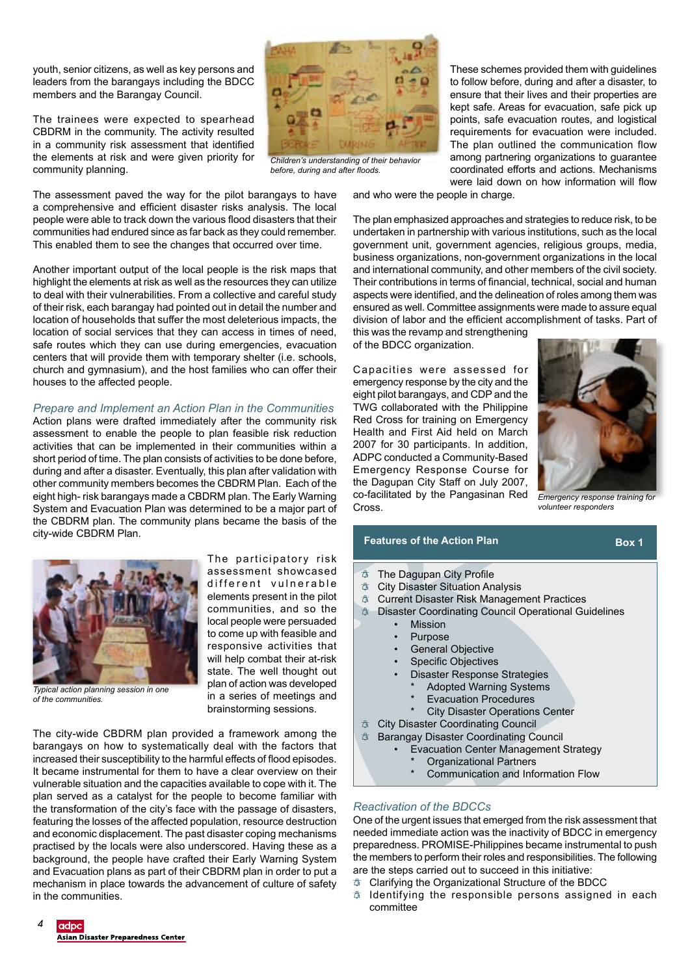youth, senior citizens, as well as key persons and leaders from the barangays including the BDCC members and the Barangay Council.

The trainees were expected to spearhead CBDRM in the community. The activity resulted in a community risk assessment that identified the elements at risk and were given priority for community planning.

The assessment paved the way for the pilot barangays to have a comprehensive and efficient disaster risks analysis. The local people were able to track down the various flood disasters that their communities had endured since as far back as they could remember. This enabled them to see the changes that occurred over time.

Another important output of the local people is the risk maps that highlight the elements at risk as well as the resources they can utilize to deal with their vulnerabilities. From a collective and careful study of their risk, each barangay had pointed out in detail the number and location of households that suffer the most deleterious impacts, the location of social services that they can access in times of need, safe routes which they can use during emergencies, evacuation centers that will provide them with temporary shelter (i.e. schools, church and gymnasium), and the host families who can offer their houses to the affected people.

## *Prepare and Implement an Action Plan in the Communities*

Action plans were drafted immediately after the community risk assessment to enable the people to plan feasible risk reduction activities that can be implemented in their communities within a short period of time. The plan consists of activities to be done before, during and after a disaster. Eventually, this plan after validation with other community members becomes the CBDRM Plan. Each of the eight high- risk barangays made a CBDRM plan. The Early Warning System and Evacuation Plan was determined to be a major part of the CBDRM plan. The community plans became the basis of the city-wide CBDRM Plan.



*Typical action planning session in one of the communities.*

The participatory risk assessment showcased different vulnerable elements present in the pilot communities, and so the local people were persuaded to come up with feasible and responsive activities that will help combat their at-risk state. The well thought out plan of action was developed in a series of meetings and brainstorming sessions.

The city-wide CBDRM plan provided a framework among the barangays on how to systematically deal with the factors that increased their susceptibility to the harmful effects of flood episodes. It became instrumental for them to have a clear overview on their vulnerable situation and the capacities available to cope with it. The plan served as a catalyst for the people to become familiar with the transformation of the city's face with the passage of disasters, featuring the losses of the affected population, resource destruction and economic displacement. The past disaster coping mechanisms practised by the locals were also underscored. Having these as a background, the people have crafted their Early Warning System and Evacuation plans as part of their CBDRM plan in order to put a mechanism in place towards the advancement of culture of safety in the communities.



*Children's understanding of their behavior before, during and after floods.*

These schemes provided them with guidelines to follow before, during and after a disaster, to ensure that their lives and their properties are kept safe. Areas for evacuation, safe pick up points, safe evacuation routes, and logistical requirements for evacuation were included. The plan outlined the communication flow among partnering organizations to guarantee coordinated efforts and actions. Mechanisms were laid down on how information will flow

and who were the people in charge.

The plan emphasized approaches and strategies to reduce risk, to be undertaken in partnership with various institutions, such as the local government unit, government agencies, religious groups, media, business organizations, non-government organizations in the local and international community, and other members of the civil society. Their contributions in terms of financial, technical, social and human aspects were identified, and the delineation of roles among them was ensured as well. Committee assignments were made to assure equal division of labor and the efficient accomplishment of tasks. Part of

this was the revamp and strengthening of the BDCC organization.

Capacities were assessed for emergency response by the city and the eight pilot barangays, and CDP and the TWG collaborated with the Philippine Red Cross for training on Emergency Health and First Aid held on March 2007 for 30 participants. In addition, ADPC conducted a Community-Based Emergency Response Course for the Dagupan City Staff on July 2007, co-facilitated by the Pangasinan Red Cross.



*Emergency response training for volunteer responders*

## **Features of the Action Plan Box 1**

- $\uparrow$  The Dagupan City Profile
- City Disaster Situation Analysis
- $\uparrow$  Current Disaster Risk Management Practices
- Disaster Coordinating Council Operational Guidelines
	- **Mission** 
		- **Purpose**
		- General Objective
		- **Specific Objectives**
		- Disaster Response Strategies
		- Adopted Warning Systems
			- **Evacuation Procedures**
			- **City Disaster Operations Center**
	- City Disaster Coordinating Council
- Barangay Disaster Coordinating Council
	- Evacuation Center Management Strategy
		- Organizational Partners
		- Communication and Information Flow

# *Reactivation of the BDCCs*

One of the urgent issues that emerged from the risk assessment that needed immediate action was the inactivity of BDCC in emergency preparedness. PROMISE-Philippines became instrumental to push the members to perform their roles and responsibilities. The following are the steps carried out to succeed in this initiative:

- $\phi$  Clarifying the Organizational Structure of the BDCC
- $\Phi$  Identifying the responsible persons assigned in each committee

#### adpc Asian Disaster Preparedness Center

4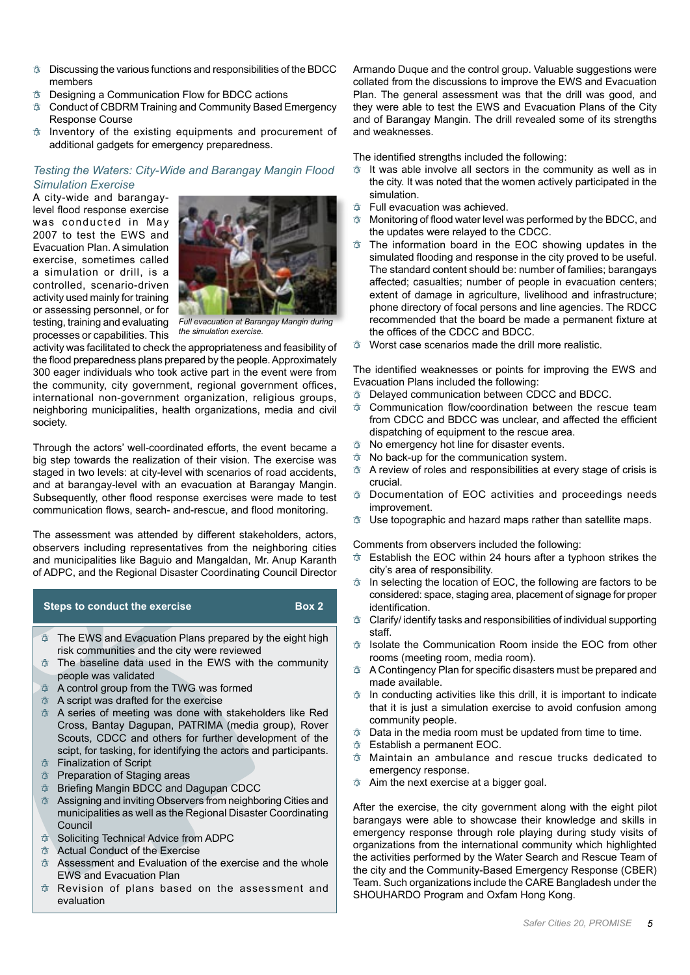- $\Phi$  Discussing the various functions and responsibilities of the BDCC members
- $\Phi$  Designing a Communication Flow for BDCC actions
- $\circledA$  Conduct of CBDRM Training and Community Based Emergency Response Course
- $\phi$  Inventory of the existing equipments and procurement of additional gadgets for emergency preparedness.

# *Testing the Waters: City-Wide and Barangay Mangin Flood Simulation Exercise*

A city-wide and barangaylevel flood response exercise was conducted in May 2007 to test the EWS and Evacuation Plan. A simulation exercise, sometimes called a simulation or drill, is a controlled, scenario-driven activity used mainly for training or assessing personnel, or for testing, training and evaluating processes or capabilities. This



*Full evacuation at Barangay Mangin during the simulation exercise.*

activity was facilitated to check the appropriateness and feasibility of the flood preparedness plans prepared by the people. Approximately 300 eager individuals who took active part in the event were from the community, city government, regional government offices, international non-government organization, religious groups, neighboring municipalities, health organizations, media and civil society.

Through the actors' well-coordinated efforts, the event became a big step towards the realization of their vision. The exercise was staged in two levels: at city-level with scenarios of road accidents, and at barangay-level with an evacuation at Barangay Mangin. Subsequently, other flood response exercises were made to test communication flows, search- and-rescue, and flood monitoring.

The assessment was attended by different stakeholders, actors, observers including representatives from the neighboring cities and municipalities like Baguio and Mangaldan, Mr. Anup Karanth of ADPC, and the Regional Disaster Coordinating Council Director

# $\uparrow$  The EWS and Evacuation Plans prepared by the eight high risk communities and the city were reviewed  $\phi$  The baseline data used in the EWS with the community **Steps to conduct the exercise Box 2**

- people was validated
- $\uparrow$  A control group from the TWG was formed
- A script was drafted for the exercise
- A series of meeting was done with stakeholders like Red Cross, Bantay Dagupan, PATRIMA (media group), Rover Scouts, CDCC and others for further development of the scipt, for tasking, for identifying the actors and participants.
- Finalization of Script
- $\uparrow$  Preparation of Staging areas
- $\textcircled{a}$  Briefing Mangin BDCC and Dagupan CDCC
- Assigning and inviting Observers from neighboring Cities and municipalities as well as the Regional Disaster Coordinating Council
- **Soliciting Technical Advice from ADPC**
- Actual Conduct of the Exercise
- Assessment and Evaluation of the exercise and the whole EWS and Evacuation Plan
- Revision of plans based on the assessment and evaluation

Armando Duque and the control group. Valuable suggestions were collated from the discussions to improve the EWS and Evacuation Plan. The general assessment was that the drill was good, and they were able to test the EWS and Evacuation Plans of the City and of Barangay Mangin. The drill revealed some of its strengths and weaknesses.

The identified strengths included the following:

- $\Phi$  It was able involve all sectors in the community as well as in the city. It was noted that the women actively participated in the simulation.
- $\Phi$  Full evacuation was achieved.
- $\Phi$  Monitoring of flood water level was performed by the BDCC, and the updates were relayed to the CDCC.
- $\uparrow$  The information board in the EOC showing updates in the simulated flooding and response in the city proved to be useful. The standard content should be: number of families; barangays affected; casualties; number of people in evacuation centers; extent of damage in agriculture, livelihood and infrastructure; phone directory of focal persons and line agencies. The RDCC recommended that the board be made a permanent fixture at the offices of the CDCC and BDCC.
- $\triangle$  Worst case scenarios made the drill more realistic.

The identified weaknesses or points for improving the EWS and Evacuation Plans included the following:

- **<sup>†</sup> Delayed communication between CDCC and BDCC.**<br><sup>†</sup> Communication flow/coordination between the res
- Communication flow/coordination between the rescue team from CDCC and BDCC was unclear, and affected the efficient dispatching of equipment to the rescue area.
- $\uparrow$  No emergency hot line for disaster events.
- $\phi$  No back-up for the communication system.
- $\Phi$  A review of roles and responsibilities at every stage of crisis is crucial.
- $\Phi$  Documentation of EOC activities and proceedings needs improvement.
- $\Phi$  Use topographic and hazard maps rather than satellite maps.

Comments from observers included the following:

- $\uparrow$  Establish the EOC within 24 hours after a typhoon strikes the city's area of responsibility.
- $\Phi$  In selecting the location of EOC, the following are factors to be considered: space, staging area, placement of signage for proper identification.
- Clarify/ identify tasks and responsibilities of individual supporting staff.
- Isolate the Communication Room inside the EOC from other rooms (meeting room, media room).
- A Contingency Plan for specific disasters must be prepared and made available.
- $\phi$  In conducting activities like this drill, it is important to indicate that it is just a simulation exercise to avoid confusion among community people.
- $\phi$  Data in the media room must be updated from time to time.
- Establish a permanent EOC.
- Maintain an ambulance and rescue trucks dedicated to emergency response.
- $\Phi$  Aim the next exercise at a bigger goal.

After the exercise, the city government along with the eight pilot barangays were able to showcase their knowledge and skills in emergency response through role playing during study visits of organizations from the international community which highlighted the activities performed by the Water Search and Rescue Team of the city and the Community-Based Emergency Response (CBER) Team. Such organizations include the CARE Bangladesh under the SHOUHARDO Program and Oxfam Hong Kong.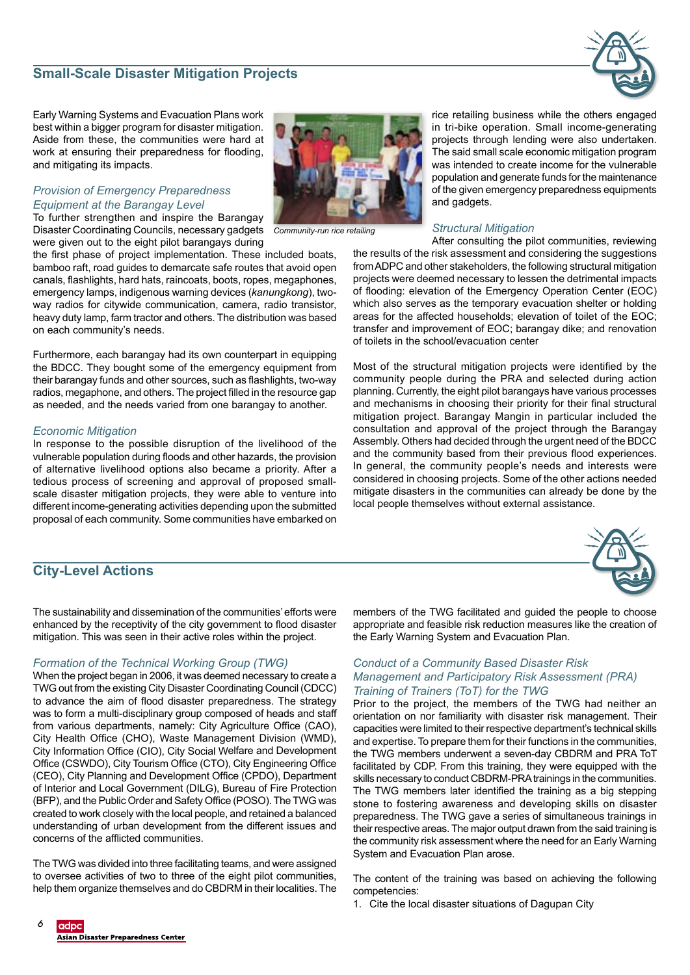# 6

**Asian Disaster Preparedness Center** 

# **Small-Scale Disaster Mitigation Projects**

Early Warning Systems and Evacuation Plans work best within a bigger program for disaster mitigation. Aside from these, the communities were hard at work at ensuring their preparedness for flooding, and mitigating its impacts.

# *Provision of Emergency Preparedness Equipment at the Barangay Level*

To further strengthen and inspire the Barangay Disaster Coordinating Councils, necessary gadgets *Community-run rice retailing* were given out to the eight pilot barangays during

the first phase of project implementation. These included boats, bamboo raft, road guides to demarcate safe routes that avoid open canals, flashlights, hard hats, raincoats, boots, ropes, megaphones, emergency lamps, indigenous warning devices (*kanungkong*), twoway radios for citywide communication, camera, radio transistor, heavy duty lamp, farm tractor and others. The distribution was based on each community's needs.

Furthermore, each barangay had its own counterpart in equipping the BDCC. They bought some of the emergency equipment from their barangay funds and other sources, such as flashlights, two-way radios, megaphone, and others. The project filled in the resource gap as needed, and the needs varied from one barangay to another.

# *Economic Mitigation*

In response to the possible disruption of the livelihood of the vulnerable population during floods and other hazards, the provision of alternative livelihood options also became a priority. After a tedious process of screening and approval of proposed smallscale disaster mitigation projects, they were able to venture into different income-generating activities depending upon the submitted proposal of each community. Some communities have embarked on

# **City-Level Actions**

The sustainability and dissemination of the communities' efforts were enhanced by the receptivity of the city government to flood disaster mitigation. This was seen in their active roles within the project.

# *Formation of the Technical Working Group (TWG)*

When the project began in 2006, it was deemed necessary to create a TWG out from the existing City Disaster Coordinating Council (CDCC) to advance the aim of flood disaster preparedness. The strategy was to form a multi-disciplinary group composed of heads and staff from various departments, namely: City Agriculture Office (CAO), City Health Office (CHO), Waste Management Division (WMD), City Information Office (CIO), City Social Welfare and Development Office (CSWDO), City Tourism Office (CTO), City Engineering Office (CEO), City Planning and Development Office (CPDO), Department of Interior and Local Government (DILG), Bureau of Fire Protection (BFP), and the Public Order and Safety Office (POSO). The TWG was created to work closely with the local people, and retained a balanced understanding of urban development from the different issues and concerns of the afflicted communities.

The TWG was divided into three facilitating teams, and were assigned to oversee activities of two to three of the eight pilot communities, help them organize themselves and do CBDRM in their localities. The rice retailing business while the others engaged in tri-bike operation. Small income-generating projects through lending were also undertaken. The said small scale economic mitigation program was intended to create income for the vulnerable population and generate funds for the maintenance of the given emergency preparedness equipments and gadgets.

# *Structural Mitigation*

After consulting the pilot communities, reviewing the results of the risk assessment and considering the suggestions from ADPC and other stakeholders, the following structural mitigation projects were deemed necessary to lessen the detrimental impacts of flooding: elevation of the Emergency Operation Center (EOC) which also serves as the temporary evacuation shelter or holding areas for the affected households; elevation of toilet of the EOC; transfer and improvement of EOC; barangay dike; and renovation of toilets in the school/evacuation center

Most of the structural mitigation projects were identified by the community people during the PRA and selected during action planning. Currently, the eight pilot barangays have various processes and mechanisms in choosing their priority for their final structural mitigation project. Barangay Mangin in particular included the consultation and approval of the project through the Barangay Assembly. Others had decided through the urgent need of the BDCC and the community based from their previous flood experiences. In general, the community people's needs and interests were considered in choosing projects. Some of the other actions needed mitigate disasters in the communities can already be done by the local people themselves without external assistance.

# members of the TWG facilitated and guided the people to choose appropriate and feasible risk reduction measures like the creation of the Early Warning System and Evacuation Plan.

# *Conduct of a Community Based Disaster Risk Management and Participatory Risk Assessment (PRA) Training of Trainers (ToT) for the TWG*

Prior to the project, the members of the TWG had neither an orientation on nor familiarity with disaster risk management. Their capacities were limited to their respective department's technical skills and expertise. To prepare them for their functions in the communities, the TWG members underwent a seven-day CBDRM and PRA ToT facilitated by CDP. From this training, they were equipped with the skills necessary to conduct CBDRM-PRA trainings in the communities. The TWG members later identified the training as a big stepping stone to fostering awareness and developing skills on disaster preparedness. The TWG gave a series of simultaneous trainings in their respective areas. The major output drawn from the said training is the community risk assessment where the need for an Early Warning System and Evacuation Plan arose.

The content of the training was based on achieving the following competencies:

1. Cite the local disaster situations of Dagupan City





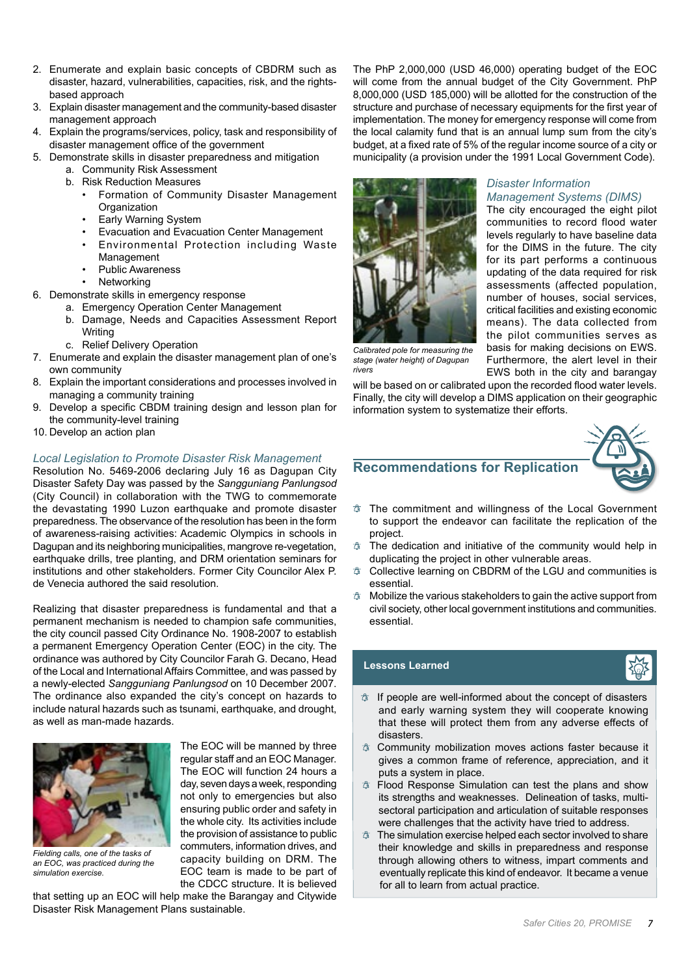- 2. Enumerate and explain basic concepts of CBDRM such as disaster, hazard, vulnerabilities, capacities, risk, and the rightsbased approach
- 3. Explain disaster management and the community-based disaster management approach
- 4. Explain the programs/services, policy, task and responsibility of disaster management office of the government
- 5. Demonstrate skills in disaster preparedness and mitigation
	- a. Community Risk Assessment
	- b. Risk Reduction Measures
		- Formation of Community Disaster Management **Organization** 
			- **Early Warning System**
		- Evacuation and Evacuation Center Management
		- Environmental Protection including Waste Management
		- Public Awareness
		- **Networking**
- 6. Demonstrate skills in emergency response
	- a. Emergency Operation Center Management
	- b. Damage, Needs and Capacities Assessment Report Writing
	- c. Relief Delivery Operation
- 7. Enumerate and explain the disaster management plan of one's own community
- 8. Explain the important considerations and processes involved in managing a community training
- 9. Develop a specific CBDM training design and lesson plan for the community-level training
- 10. Develop an action plan

## *Local Legislation to Promote Disaster Risk Management*

Resolution No. 5469-2006 declaring July 16 as Dagupan City Disaster Safety Day was passed by the *Sangguniang Panlungsod* (City Council) in collaboration with the TWG to commemorate the devastating 1990 Luzon earthquake and promote disaster preparedness. The observance of the resolution has been in the form of awareness-raising activities: Academic Olympics in schools in Dagupan and its neighboring municipalities, mangrove re-vegetation, earthquake drills, tree planting, and DRM orientation seminars for institutions and other stakeholders. Former City Councilor Alex P. de Venecia authored the said resolution.

Realizing that disaster preparedness is fundamental and that a permanent mechanism is needed to champion safe communities, the city council passed City Ordinance No. 1908-2007 to establish a permanent Emergency Operation Center (EOC) in the city. The ordinance was authored by City Councilor Farah G. Decano, Head of the Local and International Affairs Committee, and was passed by a newly-elected *Sangguniang Panlungsod* on 10 December 2007. The ordinance also expanded the city's concept on hazards to include natural hazards such as tsunami, earthquake, and drought, as well as man-made hazards.



*Fielding calls, one of the tasks of an EOC, was practiced during the simulation exercise.*

The EOC will be manned by three regular staff and an EOC Manager. The EOC will function 24 hours a day, seven days a week, responding not only to emergencies but also ensuring public order and safety in the whole city. Its activities include the provision of assistance to public commuters, information drives, and capacity building on DRM. The EOC team is made to be part of the CDCC structure. It is believed

that setting up an EOC will help make the Barangay and Citywide Disaster Risk Management Plans sustainable.

The PhP 2,000,000 (USD 46,000) operating budget of the EOC will come from the annual budget of the City Government. PhP 8,000,000 (USD 185,000) will be allotted for the construction of the structure and purchase of necessary equipments for the first year of implementation. The money for emergency response will come from the local calamity fund that is an annual lump sum from the city's budget, at a fixed rate of 5% of the regular income source of a city or municipality (a provision under the 1991 Local Government Code).

*Disaster Information* 

*Management Systems (DIMS)*  The city encouraged the eight pilot communities to record flood water levels regularly to have baseline data for the DIMS in the future. The city for its part performs a continuous updating of the data required for risk assessments (affected population, number of houses, social services, critical facilities and existing economic means). The data collected from the pilot communities serves as basis for making decisions on EWS. Furthermore, the alert level in their EWS both in the city and barangay



*Calibrated pole for measuring the stage (water height) of Dagupan rivers*

will be based on or calibrated upon the recorded flood water levels. Finally, the city will develop a DIMS application on their geographic information system to systematize their efforts.



- **Recommendations for Replication**
- $\uparrow$  The commitment and willingness of the Local Government to support the endeavor can facilitate the replication of the project.
- The dedication and initiative of the community would help in duplicating the project in other vulnerable areas.
- $\Phi$  Collective learning on CBDRM of the LGU and communities is essential.
- $\Phi$  Mobilize the various stakeholders to gain the active support from civil society, other local government institutions and communities. essential.

# **Lessons Learned**



- $\uparrow$  If people are well-informed about the concept of disasters and early warning system they will cooperate knowing that these will protect them from any adverse effects of disasters.
- $\phi$  Community mobilization moves actions faster because it gives a common frame of reference, appreciation, and it puts a system in place.
- Flood Response Simulation can test the plans and show its strengths and weaknesses. Delineation of tasks, multisectoral participation and articulation of suitable responses were challenges that the activity have tried to address.
- $\uparrow$  The simulation exercise helped each sector involved to share their knowledge and skills in preparedness and response through allowing others to witness, impart comments and eventually replicate this kind of endeavor. It became a venue for all to learn from actual practice.